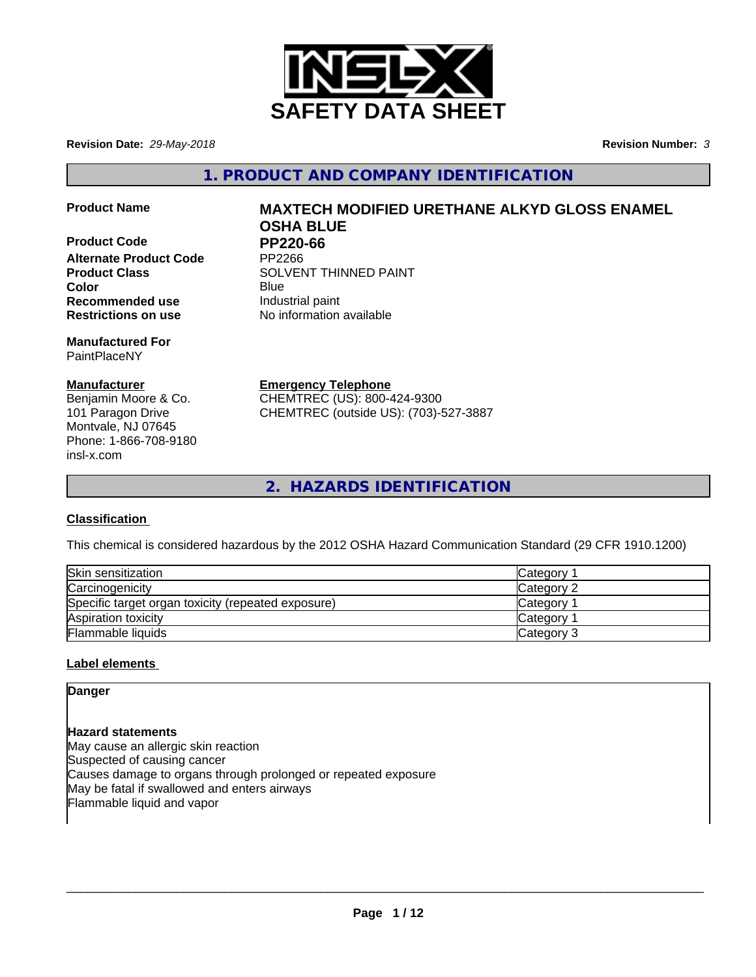

**Revision Date:** *29-May-2018* **Revision Number:** *3*

**1. PRODUCT AND COMPANY IDENTIFICATION**

**Product Code PP220-66**<br>Alternate Product Code PP2266 **Alternate Product Code Recommended use Industrial paint Restrictions on use** No information available

**Manufactured For** PaintPlaceNY

# **Manufacturer**

Benjamin Moore & Co. 101 Paragon Drive Montvale, NJ 07645 Phone: 1-866-708-9180 insl-x.com

# **Product Name MAXTECH MODIFIED URETHANE ALKYD GLOSS ENAMEL OSHA BLUE**

**Product Class SOLVENT THINNED PAINT Color** Blue Blue

**Emergency Telephone**

CHEMTREC (US): 800-424-9300 CHEMTREC (outside US): (703)-527-3887

**2. HAZARDS IDENTIFICATION**

# **Classification**

This chemical is considered hazardous by the 2012 OSHA Hazard Communication Standard (29 CFR 1910.1200)

| Skin sensitization                                 | Category        |
|----------------------------------------------------|-----------------|
| Carcinogenicity                                    | Category 2      |
| Specific target organ toxicity (repeated exposure) | <b>Category</b> |
| Aspiration toxicity                                | <b>Category</b> |
| Flammable liquids                                  | Category 3      |

# **Label elements**

**Danger**

**Hazard statements** May cause an allergic skin reaction Suspected of causing cancer Causes damage to organs through prolonged or repeated exposure May be fatal if swallowed and enters airways Flammable liquid and vapor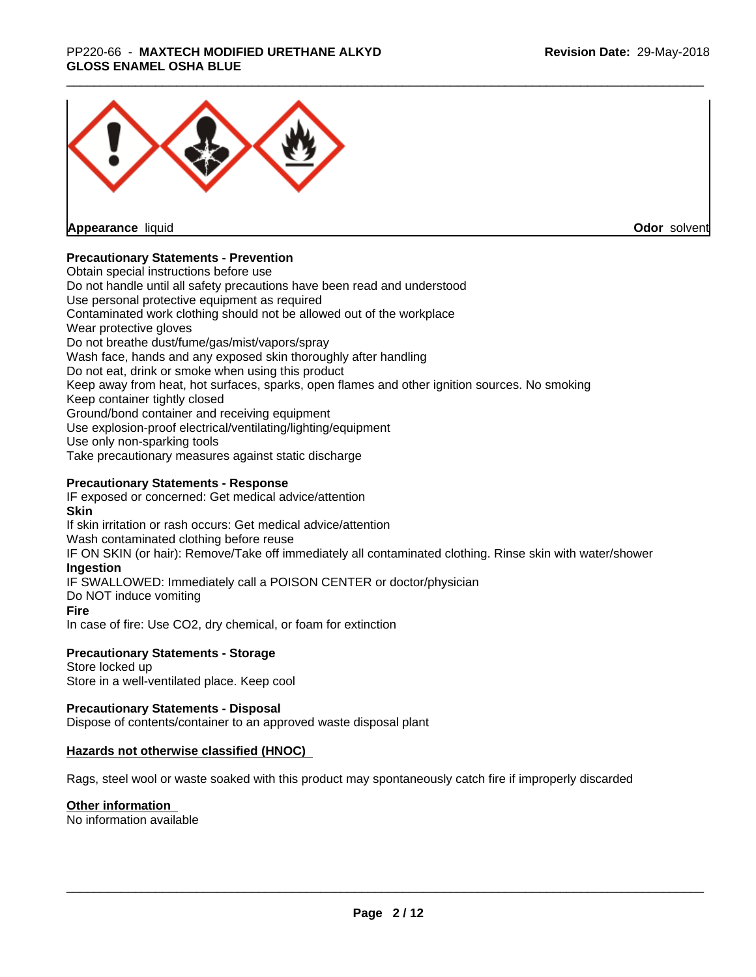### \_\_\_\_\_\_\_\_\_\_\_\_\_\_\_\_\_\_\_\_\_\_\_\_\_\_\_\_\_\_\_\_\_\_\_\_\_\_\_\_\_\_\_\_\_\_\_\_\_\_\_\_\_\_\_\_\_\_\_\_\_\_\_\_\_\_\_\_\_\_\_\_\_\_\_\_\_\_\_\_\_\_\_\_\_\_\_\_\_\_\_\_\_ PP220-66 - **MAXTECH MODIFIED URETHANE ALKYD GLOSS ENAMEL OSHA BLUE**



**Appearance** liquid

**Odor** solvent

### **Precautionary Statements - Prevention**

Obtain special instructions before use Do not handle until all safety precautions have been read and understood Use personal protective equipment as required Contaminated work clothing should not be allowed out of the workplace Wear protective gloves Do not breathe dust/fume/gas/mist/vapors/spray Wash face, hands and any exposed skin thoroughly after handling Do not eat, drink or smoke when using this product Keep away from heat, hot surfaces, sparks, open flames and other ignition sources. No smoking Keep container tightly closed Ground/bond container and receiving equipment Use explosion-proof electrical/ventilating/lighting/equipment Use only non-sparking tools Take precautionary measures against static discharge

### **Precautionary Statements - Response**

IF exposed or concerned: Get medical advice/attention **Skin** If skin irritation or rash occurs: Get medical advice/attention Wash contaminated clothing before reuse IF ON SKIN (or hair): Remove/Take off immediately all contaminated clothing. Rinse skin with water/shower **Ingestion** IF SWALLOWED: Immediately call a POISON CENTER or doctor/physician Do NOT induce vomiting **Fire** In case of fire: Use CO2, dry chemical, or foam for extinction

### **Precautionary Statements - Storage**

Store locked up Store in a well-ventilated place. Keep cool

### **Precautionary Statements - Disposal**

Dispose of contents/container to an approved waste disposal plant

### **Hazards not otherwise classified (HNOC)**

Rags, steel wool or waste soaked with this product may spontaneously catch fire if improperly discarded

### **Other information**

No information available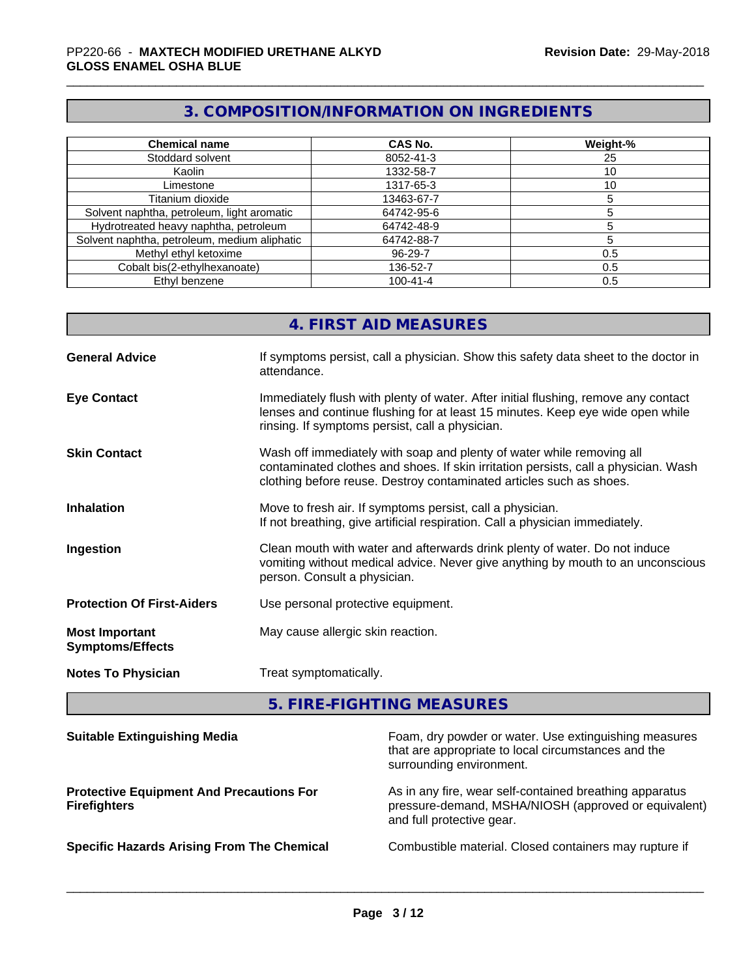# **3. COMPOSITION/INFORMATION ON INGREDIENTS**

| <b>Chemical name</b>                         | <b>CAS No.</b> | Weight-% |
|----------------------------------------------|----------------|----------|
| Stoddard solvent                             | 8052-41-3      | 25       |
| Kaolin                                       | 1332-58-7      | 10       |
| Limestone                                    | 1317-65-3      | 10       |
| Titanium dioxide                             | 13463-67-7     |          |
| Solvent naphtha, petroleum, light aromatic   | 64742-95-6     |          |
| Hydrotreated heavy naphtha, petroleum        | 64742-48-9     |          |
| Solvent naphtha, petroleum, medium aliphatic | 64742-88-7     |          |
| Methyl ethyl ketoxime                        | 96-29-7        | 0.5      |
| Cobalt bis(2-ethylhexanoate)                 | 136-52-7       | 0.5      |
| Ethyl benzene                                | $100 - 41 - 4$ | 0.5      |

# **4. FIRST AID MEASURES**

| <b>General Advice</b>                            | If symptoms persist, call a physician. Show this safety data sheet to the doctor in<br>attendance.                                                                                                                                  |
|--------------------------------------------------|-------------------------------------------------------------------------------------------------------------------------------------------------------------------------------------------------------------------------------------|
| <b>Eye Contact</b>                               | Immediately flush with plenty of water. After initial flushing, remove any contact<br>lenses and continue flushing for at least 15 minutes. Keep eye wide open while<br>rinsing. If symptoms persist, call a physician.             |
| <b>Skin Contact</b>                              | Wash off immediately with soap and plenty of water while removing all<br>contaminated clothes and shoes. If skin irritation persists, call a physician. Wash<br>clothing before reuse. Destroy contaminated articles such as shoes. |
| <b>Inhalation</b>                                | Move to fresh air. If symptoms persist, call a physician.<br>If not breathing, give artificial respiration. Call a physician immediately.                                                                                           |
| Ingestion                                        | Clean mouth with water and afterwards drink plenty of water. Do not induce<br>vomiting without medical advice. Never give anything by mouth to an unconscious<br>person. Consult a physician.                                       |
| <b>Protection Of First-Aiders</b>                | Use personal protective equipment.                                                                                                                                                                                                  |
| <b>Most Important</b><br><b>Symptoms/Effects</b> | May cause allergic skin reaction.                                                                                                                                                                                                   |
| <b>Notes To Physician</b>                        | Treat symptomatically.                                                                                                                                                                                                              |

**5. FIRE-FIGHTING MEASURES**

| <b>Suitable Extinguishing Media</b>                                    | Foam, dry powder or water. Use extinguishing measures<br>that are appropriate to local circumstances and the<br>surrounding environment.     |
|------------------------------------------------------------------------|----------------------------------------------------------------------------------------------------------------------------------------------|
| <b>Protective Equipment And Precautions For</b><br><b>Firefighters</b> | As in any fire, wear self-contained breathing apparatus<br>pressure-demand, MSHA/NIOSH (approved or equivalent)<br>and full protective gear. |
| <b>Specific Hazards Arising From The Chemical</b>                      | Combustible material. Closed containers may rupture if                                                                                       |
|                                                                        |                                                                                                                                              |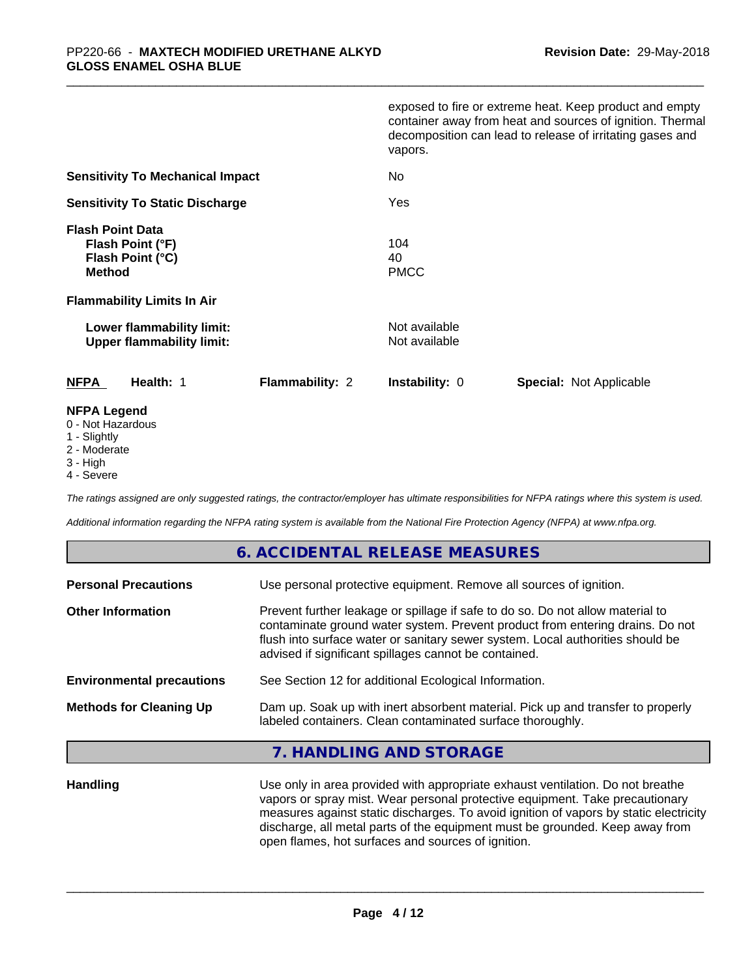|                                                                                  | exposed to fire or extreme heat. Keep product and empty<br>container away from heat and sources of ignition. Thermal<br>decomposition can lead to release of irritating gases and<br>vapors. |
|----------------------------------------------------------------------------------|----------------------------------------------------------------------------------------------------------------------------------------------------------------------------------------------|
| <b>Sensitivity To Mechanical Impact</b>                                          | No.                                                                                                                                                                                          |
| <b>Sensitivity To Static Discharge</b>                                           | Yes                                                                                                                                                                                          |
| <b>Flash Point Data</b><br>Flash Point (°F)<br>Flash Point (°C)<br><b>Method</b> | 104<br>40<br><b>PMCC</b>                                                                                                                                                                     |
| <b>Flammability Limits In Air</b>                                                |                                                                                                                                                                                              |
| Lower flammability limit:<br><b>Upper flammability limit:</b>                    | Not available<br>Not available                                                                                                                                                               |
| Health: 1<br><b>NFPA</b><br><b>Flammability: 2</b>                               | <b>Instability: 0</b><br><b>Special: Not Applicable</b>                                                                                                                                      |
| <b>NFPA Legend</b>                                                               |                                                                                                                                                                                              |

#### 0 - Not Hazardous

- 1 Slightly
- 2 Moderate
- 3 High
- 4 Severe

*The ratings assigned are only suggested ratings, the contractor/employer has ultimate responsibilities for NFPA ratings where this system is used.*

*Additional information regarding the NFPA rating system is available from the National Fire Protection Agency (NFPA) at www.nfpa.org.*

# **6. ACCIDENTAL RELEASE MEASURES**

| Use personal protective equipment. Remove all sources of ignition.                                                                                                                                                                                                                                         |
|------------------------------------------------------------------------------------------------------------------------------------------------------------------------------------------------------------------------------------------------------------------------------------------------------------|
| Prevent further leakage or spillage if safe to do so. Do not allow material to<br>contaminate ground water system. Prevent product from entering drains. Do not<br>flush into surface water or sanitary sewer system. Local authorities should be<br>advised if significant spillages cannot be contained. |
| See Section 12 for additional Ecological Information.                                                                                                                                                                                                                                                      |
| Dam up. Soak up with inert absorbent material. Pick up and transfer to properly<br>labeled containers. Clean contaminated surface thoroughly.                                                                                                                                                              |
|                                                                                                                                                                                                                                                                                                            |

### **7. HANDLING AND STORAGE**

**Handling** Use only in area provided with appropriate exhaust ventilation. Do not breathe vapors or spray mist. Wear personal protective equipment. Take precautionary measures against static discharges. To avoid ignition of vapors by static electricity discharge, all metal parts of the equipment must be grounded. Keep away from open flames, hot surfaces and sources of ignition.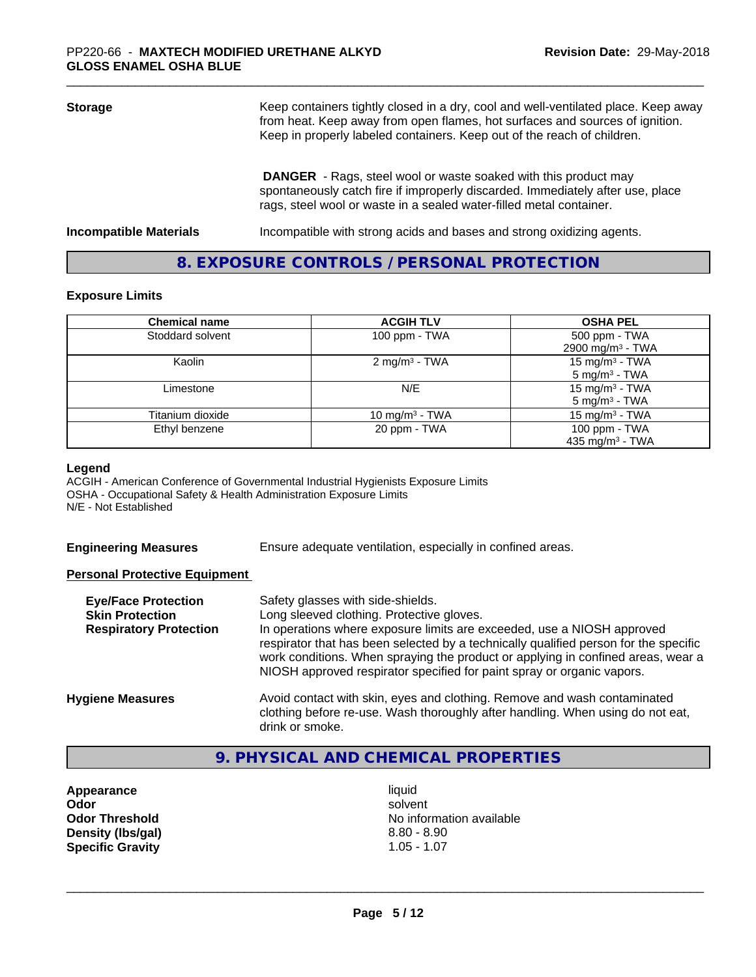| <b>Storage</b>                | Keep containers tightly closed in a dry, cool and well-ventilated place. Keep away<br>from heat. Keep away from open flames, hot surfaces and sources of ignition.<br>Keep in properly labeled containers. Keep out of the reach of children. |  |
|-------------------------------|-----------------------------------------------------------------------------------------------------------------------------------------------------------------------------------------------------------------------------------------------|--|
|                               | <b>DANGER</b> - Rags, steel wool or waste soaked with this product may<br>spontaneously catch fire if improperly discarded. Immediately after use, place<br>rags, steel wool or waste in a sealed water-filled metal container.               |  |
| <b>Incompatible Materials</b> | Incompatible with strong acids and bases and strong oxidizing agents.                                                                                                                                                                         |  |

# **8. EXPOSURE CONTROLS / PERSONAL PROTECTION**

### **Exposure Limits**

| <b>Chemical name</b> | <b>ACGIH TLV</b>           | <b>OSHA PEL</b>                               |
|----------------------|----------------------------|-----------------------------------------------|
| Stoddard solvent     | 100 ppm $-$ TWA            | 500 ppm - TWA<br>2900 mg/m <sup>3</sup> - TWA |
| Kaolin               | 2 mg/m <sup>3</sup> - TWA  | 15 mg/m $3$ - TWA<br>$5 \text{ mg/m}^3$ - TWA |
| Limestone            | N/E                        | 15 mg/m $3$ - TWA<br>$5 \text{ mg/m}^3$ - TWA |
| Titanium dioxide     | 10 mg/m <sup>3</sup> - TWA | $15 \text{ mg/m}^3$ - TWA                     |
| Ethyl benzene        | 20 ppm - TWA               | 100 ppm - TWA<br>435 mg/m <sup>3</sup> - TWA  |

#### **Legend**

ACGIH - American Conference of Governmental Industrial Hygienists Exposure Limits OSHA - Occupational Safety & Health Administration Exposure Limits N/E - Not Established

**Engineering Measures** Ensure adequate ventilation, especially in confined areas.

### **Personal Protective Equipment**

| <b>Eye/Face Protection</b><br><b>Skin Protection</b> | Safety glasses with side-shields.<br>Long sleeved clothing. Protective gloves.<br>In operations where exposure limits are exceeded, use a NIOSH approved                                                                                           |
|------------------------------------------------------|----------------------------------------------------------------------------------------------------------------------------------------------------------------------------------------------------------------------------------------------------|
| <b>Respiratory Protection</b>                        | respirator that has been selected by a technically qualified person for the specific<br>work conditions. When spraying the product or applying in confined areas, wear a<br>NIOSH approved respirator specified for paint spray or organic vapors. |
| <b>Hygiene Measures</b>                              | Avoid contact with skin, eyes and clothing. Remove and wash contaminated<br>clothing before re-use. Wash thoroughly after handling. When using do not eat,<br>drink or smoke.                                                                      |

# **9. PHYSICAL AND CHEMICAL PROPERTIES**

**Appearance** liquid **Density (lbs/gal) Specific Gravity** 1.05 - 1.07

**Odor** solvent **Odor Threshold**<br> **Density (Ibs/gal)**<br> **Density (Ibs/gal)**<br>
2.80 - 8.90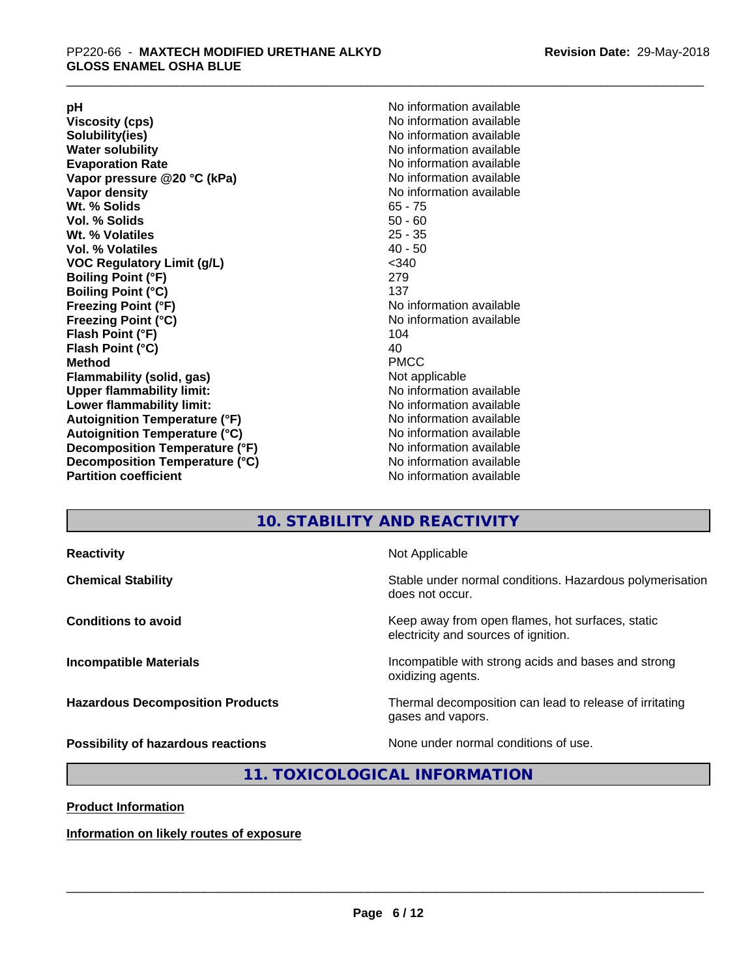**Viscosity (cps)** <br> **Viscosity (cps)** No information available<br>
No information available<br>
No information available **Water solubility**<br> **Evaporation Rate**<br> **Evaporation Rate**<br> **Evaporation Rate Vapor** pressure @20 °C (kPa) **Vapor density No information available Wt. % Solids** 65 - 75 **Vol. % Solids Wt. % Volatiles** 25 - 35 **Vol. % Volatiles** 40 - 50 **VOC Regulatory Limit (g/L)** <340 **Boiling Point (°F)** 279 **Boiling Point (°C)**<br>Freezing Point (°F) **Freezing Point (°C)**<br> **Flash Point (°F)**<br> **Flash Point (°F)**<br> **Point (°F)**<br> **Point (°F)**<br> **Point (°F)**<br> **Point (°F) Flash Point (°F) Flash Point (°C)** 40 **Method** PMCC **Flammability (solid, gas)** Not applicable **Upper flammability limit:** No information available **Lower flammability limit:** No information available **Autoignition Temperature (°F)** No information available **Autoignition Temperature (°C)** No information available **Decomposition Temperature (°F)**<br> **Decomposition Temperature (°C)** No information available<br>
No information available **Decomposition Temperature (°C)**<br>Partition coefficient

**pH**<br>
Viscosity (cps) The Contract of the Contract of No information available<br>
No information available **Solubility(ies)** No information available No information available<br>No information available **No information available No information available** 

# **10. STABILITY AND REACTIVITY**

| <b>Reactivity</b><br>Not Applicable                                                                                     |
|-------------------------------------------------------------------------------------------------------------------------|
| Stable under normal conditions. Hazardous polymerisation<br><b>Chemical Stability</b><br>does not occur.                |
| Keep away from open flames, hot surfaces, static<br><b>Conditions to avoid</b><br>electricity and sources of ignition.  |
| Incompatible with strong acids and bases and strong<br><b>Incompatible Materials</b><br>oxidizing agents.               |
| Thermal decomposition can lead to release of irritating<br><b>Hazardous Decomposition Products</b><br>gases and vapors. |
| None under normal conditions of use.<br>Possibility of hazardous reactions                                              |

# **11. TOXICOLOGICAL INFORMATION**

**Product Information**

**Information on likely routes of exposure**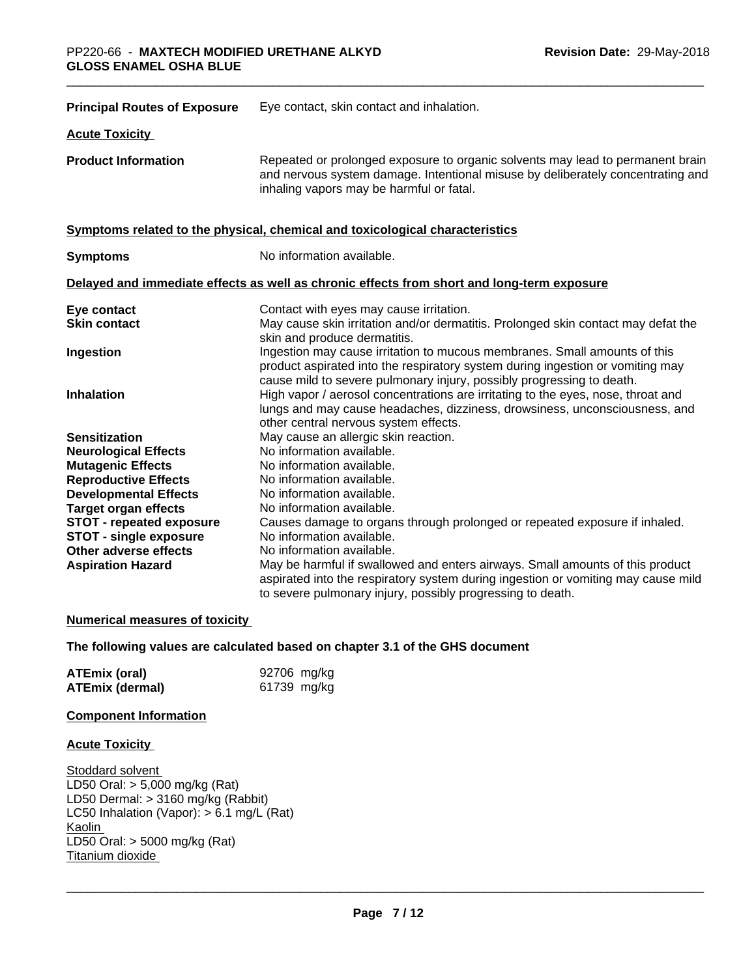| <b>Principal Routes of Exposure</b>                    | Eye contact, skin contact and inhalation.                                                                                                                                                                                            |
|--------------------------------------------------------|--------------------------------------------------------------------------------------------------------------------------------------------------------------------------------------------------------------------------------------|
| <b>Acute Toxicity</b>                                  |                                                                                                                                                                                                                                      |
| <b>Product Information</b>                             | Repeated or prolonged exposure to organic solvents may lead to permanent brain<br>and nervous system damage. Intentional misuse by deliberately concentrating and<br>inhaling vapors may be harmful or fatal.                        |
|                                                        | Symptoms related to the physical, chemical and toxicological characteristics                                                                                                                                                         |
| <b>Symptoms</b>                                        | No information available.                                                                                                                                                                                                            |
|                                                        | Delayed and immediate effects as well as chronic effects from short and long-term exposure                                                                                                                                           |
| Eye contact<br><b>Skin contact</b>                     | Contact with eyes may cause irritation.<br>May cause skin irritation and/or dermatitis. Prolonged skin contact may defat the<br>skin and produce dermatitis.                                                                         |
| Ingestion                                              | Ingestion may cause irritation to mucous membranes. Small amounts of this<br>product aspirated into the respiratory system during ingestion or vomiting may<br>cause mild to severe pulmonary injury, possibly progressing to death. |
| <b>Inhalation</b>                                      | High vapor / aerosol concentrations are irritating to the eyes, nose, throat and<br>lungs and may cause headaches, dizziness, drowsiness, unconsciousness, and<br>other central nervous system effects.                              |
| <b>Sensitization</b>                                   | May cause an allergic skin reaction.                                                                                                                                                                                                 |
| <b>Neurological Effects</b>                            | No information available.                                                                                                                                                                                                            |
| <b>Mutagenic Effects</b>                               | No information available.                                                                                                                                                                                                            |
| <b>Reproductive Effects</b>                            | No information available.                                                                                                                                                                                                            |
| <b>Developmental Effects</b>                           | No information available.                                                                                                                                                                                                            |
| <b>Target organ effects</b>                            | No information available.                                                                                                                                                                                                            |
| <b>STOT - repeated exposure</b>                        | Causes damage to organs through prolonged or repeated exposure if inhaled.                                                                                                                                                           |
| <b>STOT - single exposure</b><br>Other adverse effects | No information available.<br>No information available.                                                                                                                                                                               |
| <b>Aspiration Hazard</b>                               | May be harmful if swallowed and enters airways. Small amounts of this product                                                                                                                                                        |
|                                                        | aspirated into the respiratory system during ingestion or vomiting may cause mild<br>to severe pulmonary injury, possibly progressing to death.                                                                                      |

### **Numerical measures of toxicity**

### **The following values are calculated based on chapter 3.1 of the GHS document**

| <b>ATEmix (oral)</b>   | 92706 mg/kg |
|------------------------|-------------|
| <b>ATEmix (dermal)</b> | 61739 mg/kg |

### **Component Information**

### **Acute Toxicity**

Stoddard solvent LD50 Oral: > 5,000 mg/kg (Rat) LD50 Dermal: > 3160 mg/kg (Rabbit) LC50 Inhalation (Vapor): > 6.1 mg/L (Rat) Kaolin LD50 Oral: > 5000 mg/kg (Rat) Titanium dioxide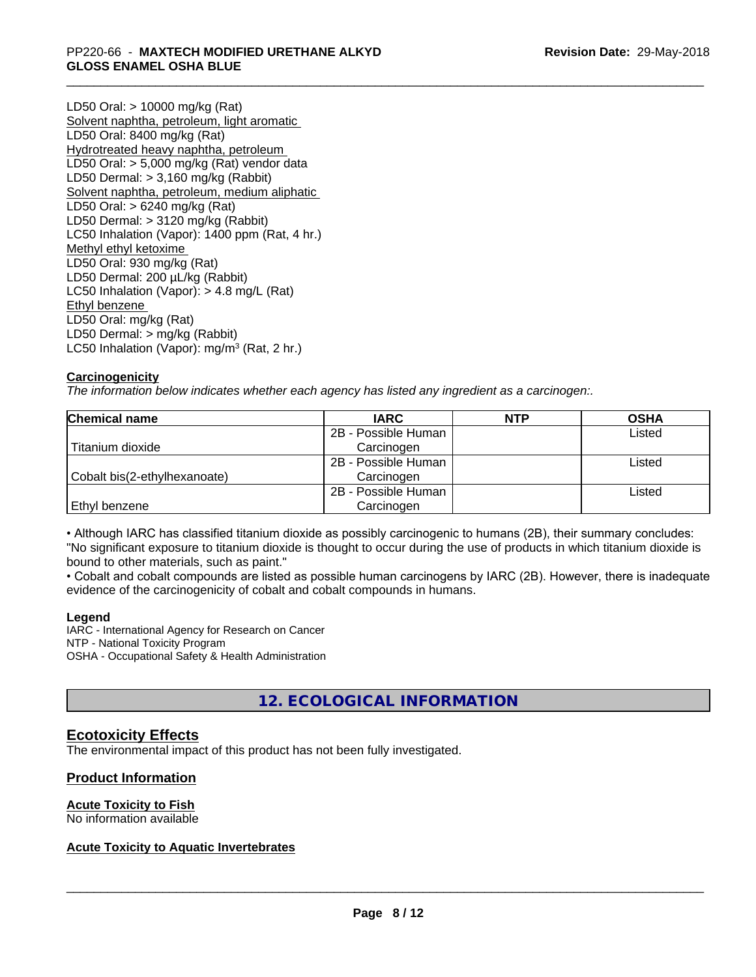LD50 Oral: > 10000 mg/kg (Rat) Solvent naphtha, petroleum, light aromatic LD50 Oral: 8400 mg/kg (Rat) Hydrotreated heavy naphtha, petroleum LD50 Oral: > 5,000 mg/kg (Rat) vendor data LD50 Dermal: > 3,160 mg/kg (Rabbit) Solvent naphtha, petroleum, medium aliphatic LD50 Oral: > 6240 mg/kg (Rat) LD50 Dermal: > 3120 mg/kg (Rabbit) LC50 Inhalation (Vapor): 1400 ppm (Rat, 4 hr.) Methyl ethyl ketoxime LD50 Oral: 930 mg/kg (Rat) LD50 Dermal: 200 µL/kg (Rabbit) LC50 Inhalation (Vapor): > 4.8 mg/L (Rat) Ethyl benzene LD50 Oral: mg/kg (Rat) LD50 Dermal: > mg/kg (Rabbit) LC50 Inhalation (Vapor): mg/m<sup>3</sup> (Rat, 2 hr.)

# **Carcinogenicity**

*The information below indicateswhether each agency has listed any ingredient as a carcinogen:.*

| <b>Chemical name</b>         | <b>IARC</b>         | <b>NTP</b> | <b>OSHA</b> |  |
|------------------------------|---------------------|------------|-------------|--|
|                              | 2B - Possible Human |            | Listed      |  |
| Titanium dioxide             | Carcinogen          |            |             |  |
|                              | 2B - Possible Human |            | Listed      |  |
| Cobalt bis(2-ethylhexanoate) | Carcinogen          |            |             |  |
|                              | 2B - Possible Human |            | Listed      |  |
| Ethyl benzene                | Carcinogen          |            |             |  |

• Although IARC has classified titanium dioxide as possibly carcinogenic to humans (2B), their summary concludes: "No significant exposure to titanium dioxide is thought to occur during the use of products in which titanium dioxide is bound to other materials, such as paint."

• Cobalt and cobalt compounds are listed as possible human carcinogens by IARC (2B). However, there is inadequate evidence of the carcinogenicity of cobalt and cobalt compounds in humans.

### **Legend**

IARC - International Agency for Research on Cancer NTP - National Toxicity Program OSHA - Occupational Safety & Health Administration

# **12. ECOLOGICAL INFORMATION**

# **Ecotoxicity Effects**

The environmental impact of this product has not been fully investigated.

### **Product Information**

### **Acute Toxicity to Fish**

No information available

# **Acute Toxicity to Aquatic Invertebrates**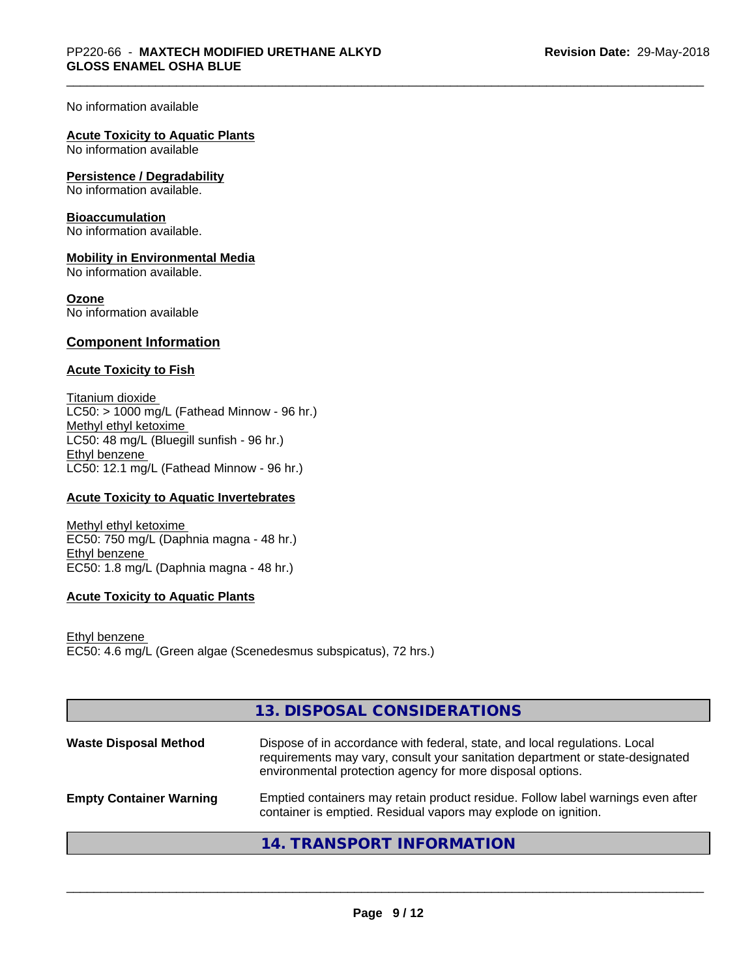No information available

### **Acute Toxicity to Aquatic Plants**

No information available

### **Persistence / Degradability**

No information available.

### **Bioaccumulation**

No information available.

### **Mobility in Environmental Media**

No information available.

### **Ozone**

No information available

### **Component Information**

### **Acute Toxicity to Fish**

Titanium dioxide  $LC50:$  > 1000 mg/L (Fathead Minnow - 96 hr.) Methyl ethyl ketoxime LC50: 48 mg/L (Bluegill sunfish - 96 hr.) Ethyl benzene LC50: 12.1 mg/L (Fathead Minnow - 96 hr.)

### **Acute Toxicity to Aquatic Invertebrates**

Methyl ethyl ketoxime EC50: 750 mg/L (Daphnia magna - 48 hr.) Ethyl benzene EC50: 1.8 mg/L (Daphnia magna - 48 hr.)

### **Acute Toxicity to Aquatic Plants**

Ethyl benzene EC50: 4.6 mg/L (Green algae (Scenedesmus subspicatus), 72 hrs.)

|                                | 13. DISPOSAL CONSIDERATIONS                                                                                                                                                                                               |
|--------------------------------|---------------------------------------------------------------------------------------------------------------------------------------------------------------------------------------------------------------------------|
| <b>Waste Disposal Method</b>   | Dispose of in accordance with federal, state, and local regulations. Local<br>requirements may vary, consult your sanitation department or state-designated<br>environmental protection agency for more disposal options. |
| <b>Empty Container Warning</b> | Emptied containers may retain product residue. Follow label warnings even after<br>container is emptied. Residual vapors may explode on ignition.                                                                         |
|                                | <b>14. TRANSPORT INFORMATION</b>                                                                                                                                                                                          |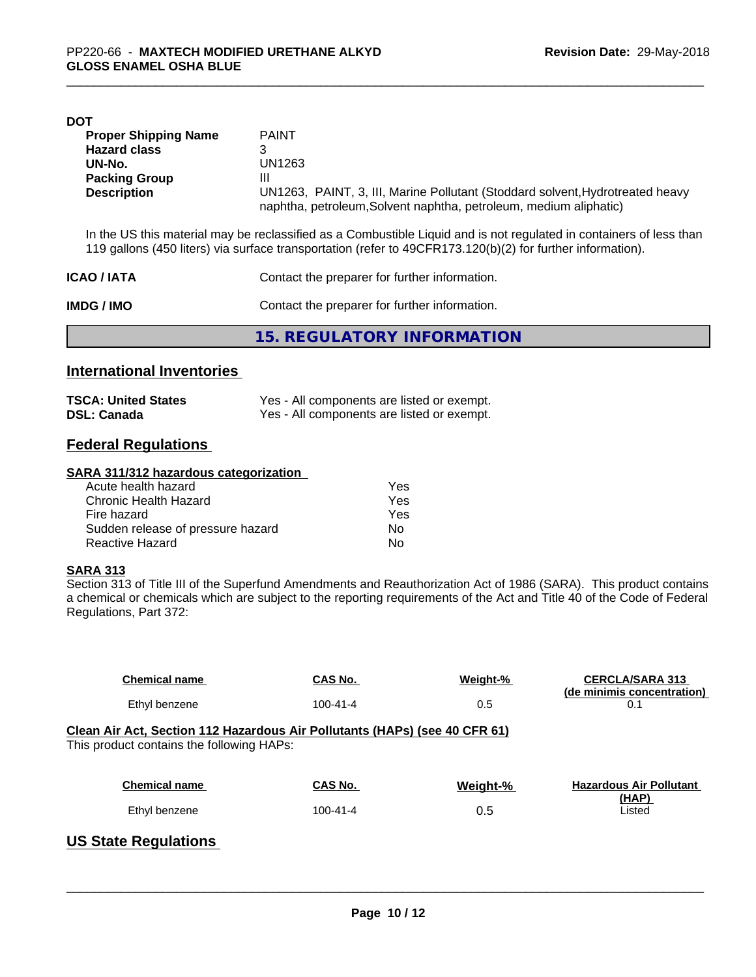| DOT                         |                                                                                                                                                    |
|-----------------------------|----------------------------------------------------------------------------------------------------------------------------------------------------|
| <b>Proper Shipping Name</b> | <b>PAINT</b>                                                                                                                                       |
| <b>Hazard class</b>         |                                                                                                                                                    |
| UN-No.                      | UN1263                                                                                                                                             |
| <b>Packing Group</b>        | Ш                                                                                                                                                  |
| <b>Description</b>          | UN1263, PAINT, 3, III, Marine Pollutant (Stoddard solvent, Hydrotreated heavy<br>naphtha, petroleum, Solvent naphtha, petroleum, medium aliphatic) |
|                             |                                                                                                                                                    |

In the US this material may be reclassified as a Combustible Liquid and is not regulated in containers of less than 119 gallons (450 liters) via surface transportation (refer to 49CFR173.120(b)(2) for further information).

| <b>ICAO/IATA</b> | Contact the preparer for further information. |  |
|------------------|-----------------------------------------------|--|
| IMDG / IMO       | Contact the preparer for further information. |  |
|                  | 15. REGULATORY INFORMATION                    |  |

# **International Inventories**

| <b>TSCA: United States</b> | Yes - All components are listed or exempt. |
|----------------------------|--------------------------------------------|
| <b>DSL: Canada</b>         | Yes - All components are listed or exempt. |

# **Federal Regulations**

#### **SARA 311/312 hazardous categorization**

| Acute health hazard               | Yes |  |
|-----------------------------------|-----|--|
| Chronic Health Hazard             | Yes |  |
| Fire hazard                       | Yes |  |
| Sudden release of pressure hazard | Nο  |  |
| Reactive Hazard                   | Nο  |  |

### **SARA 313**

Section 313 of Title III of the Superfund Amendments and Reauthorization Act of 1986 (SARA). This product contains a chemical or chemicals which are subject to the reporting requirements of the Act and Title 40 of the Code of Federal Regulations, Part 372:

| <b>Chemical name</b>                                                                                                    | CAS No.        | Weight-% | <b>CERCLA/SARA 313</b><br>(de minimis concentration) |  |
|-------------------------------------------------------------------------------------------------------------------------|----------------|----------|------------------------------------------------------|--|
| Ethyl benzene                                                                                                           | $100 - 41 - 4$ | 0.5      | 0.1                                                  |  |
| Clean Air Act, Section 112 Hazardous Air Pollutants (HAPs) (see 40 CFR 61)<br>This product contains the following HAPs: |                |          |                                                      |  |
| <b>Chemical name</b>                                                                                                    | <b>CAS No.</b> | Weight-% | <b>Hazardous Air Pollutant</b>                       |  |
| Ethyl benzene                                                                                                           | $100 - 41 - 4$ | 0.5      | (HAP)<br>Listed                                      |  |
|                                                                                                                         |                |          |                                                      |  |

# **US State Regulations**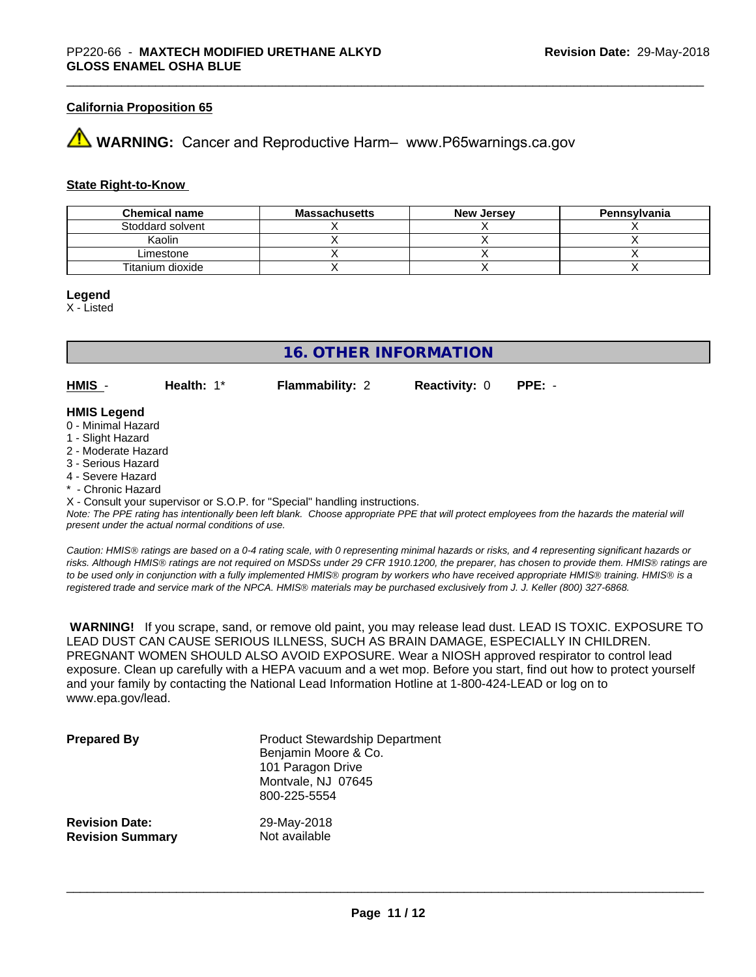### **California Proposition 65**

# **WARNING:** Cancer and Reproductive Harm– www.P65warnings.ca.gov

### **State Right-to-Know**

| <b>Chemical name</b> | <b>Massachusetts</b> | <b>New Jersey</b> | Pennsylvania |
|----------------------|----------------------|-------------------|--------------|
| Stoddard solvent     |                      |                   |              |
| Kaolin               |                      |                   |              |
| ∟imestone            |                      |                   |              |
| Titanium dioxide     |                      |                   |              |

#### **Legend**

X - Listed

# **16. OTHER INFORMATION**

**HMIS** - **Health:** 1\* **Flammability:** 2 **Reactivity:** 0 **PPE:** -

### **HMIS Legend**

- 0 Minimal Hazard
- 1 Slight Hazard
- 2 Moderate Hazard
- 3 Serious Hazard
- 4 Severe Hazard
- \* Chronic Hazard

X - Consult your supervisor or S.O.P. for "Special" handling instructions.

*Note: The PPE rating has intentionally been left blank. Choose appropriate PPE that will protect employees from the hazards the material will present under the actual normal conditions of use.*

*Caution: HMISÒ ratings are based on a 0-4 rating scale, with 0 representing minimal hazards or risks, and 4 representing significant hazards or risks. Although HMISÒ ratings are not required on MSDSs under 29 CFR 1910.1200, the preparer, has chosen to provide them. HMISÒ ratings are to be used only in conjunction with a fully implemented HMISÒ program by workers who have received appropriate HMISÒ training. HMISÒ is a registered trade and service mark of the NPCA. HMISÒ materials may be purchased exclusively from J. J. Keller (800) 327-6868.*

 **WARNING!** If you scrape, sand, or remove old paint, you may release lead dust. LEAD IS TOXIC. EXPOSURE TO LEAD DUST CAN CAUSE SERIOUS ILLNESS, SUCH AS BRAIN DAMAGE, ESPECIALLY IN CHILDREN. PREGNANT WOMEN SHOULD ALSO AVOID EXPOSURE.Wear a NIOSH approved respirator to control lead exposure. Clean up carefully with a HEPA vacuum and a wet mop. Before you start, find out how to protect yourself and your family by contacting the National Lead Information Hotline at 1-800-424-LEAD or log on to www.epa.gov/lead.

| <b>Prepared By</b>      | <b>Product Stewardship Department</b><br>Benjamin Moore & Co.<br>101 Paragon Drive<br>Montvale, NJ 07645<br>800-225-5554 |
|-------------------------|--------------------------------------------------------------------------------------------------------------------------|
| <b>Revision Date:</b>   | 29-May-2018                                                                                                              |
| <b>Revision Summary</b> | Not available                                                                                                            |